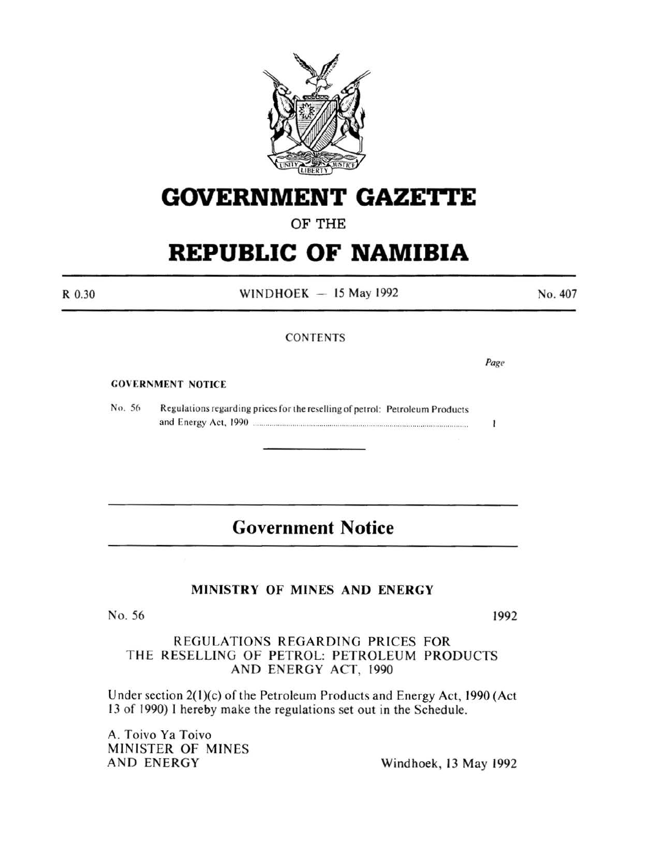

# **GOVERNMENT GAZETtE**

OF THE

# **REPUBLIC OF NAMIBIA**

R 0.30

WINDHOEK  $-15$  May 1992

No. 407

### **CONTENTS**

*Page* 

 $\mathbf{I}$ 

#### **GOVERNMENT NOTICE**

No. 56 Regulations regarding prices for the reselling of petrol: Petroleum Products and Energy Act, 1990 ....................................................................................................... .

# **Government Notice**

# MINISTRY OF MINES AND ENERGY

No. 56 1992

REGULATIONS REGARDING PRICES FOR THE RESELLING OF PETROL: PETROLEUM PRODUCTS AND ENERGY ACT, 1990

Under section 2(1)(c) of the Petroleum Products and Energy Act, 1990 (Act 13 of 1990) I hereby make the regulations set out in the Schedule.

A. Toivo Ya Toivo MINISTER OF MINES<br>AND ENERGY

Windhoek, 13 May 1992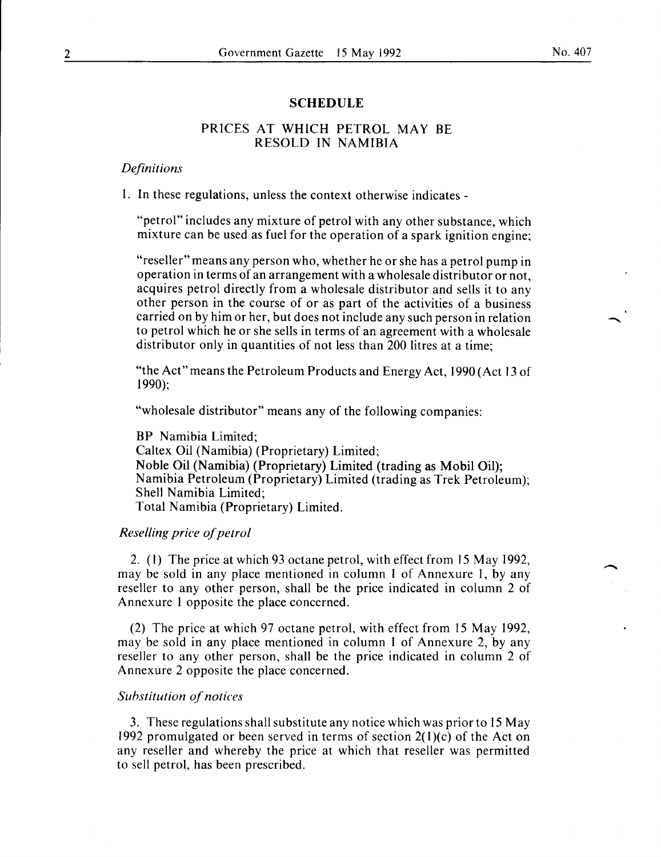#### No. 407

-<br>-<br>-<br>-

#### **SCHEDULE**

### PRICES AT WHICH PETROL MAY BE RESOLD IN NAMIBIA

#### *Definitions*

I. In these regulations, unless the context otherwise indicates -

"petrol" includes any mixture of petrol with any other substance, which mixture can be used as fuel for the operation of a spark ignition engine;

"reseller" means any person who, whether he or she has a petrol pump in operation in terms of an arrangement with a wholesale distributor or not, acquires petrol directly from a wholesale distributor and sells it to any other person in the course of or as part of the activities of a business carried on by him or her, but does not include any such person in relation to petrol which he or she sells in terms of an agreement with a wholesale distributor only in quantities of not less than 200 litres at a time;

"the Act" means the Petroleum Products and Energy Act, 1990 (Act 13 of 1990);

"wholesale distributor" means any of the following companies:

BP Namibia Limited; Caltex Oil (Namibia) (Proprietary) Limited; Noble Oil (Namibia) (Proprietary) Limited (trading as Mobil Oil); Namibia Petroleum (Proprietary) Limited (trading as Trek Petroleum); Shell Namibia Limited; Total Namibia (Proprietary) Limited.

#### *Reselling price of petrol*

2. (I) The price at which 93 octane petrol, with effect from 15 May 1992, may be sold in any place mentioned in column 1 of Annexure 1, by any reseller to any other person, shall be the price indicated in column 2 of Annexure 1 opposite the place concerned.

(2) The price at which 97 octane petrol, with effect from 15 May 1992, may be sold in any place mentioned in column 1 of Annexure 2, by any reseller to any other person, shall be the price indicated in column 2 of Annexure 2 opposite the place concerned.

#### *Substitution of notices*

3. These regulations shall substitute any notice which was prior to 15 May 1992 promulgated or been served in terms of section  $2(1)(c)$  of the Act on any reseller and whereby the price at which that reseller was permitted to sell petrol, has been prescribed.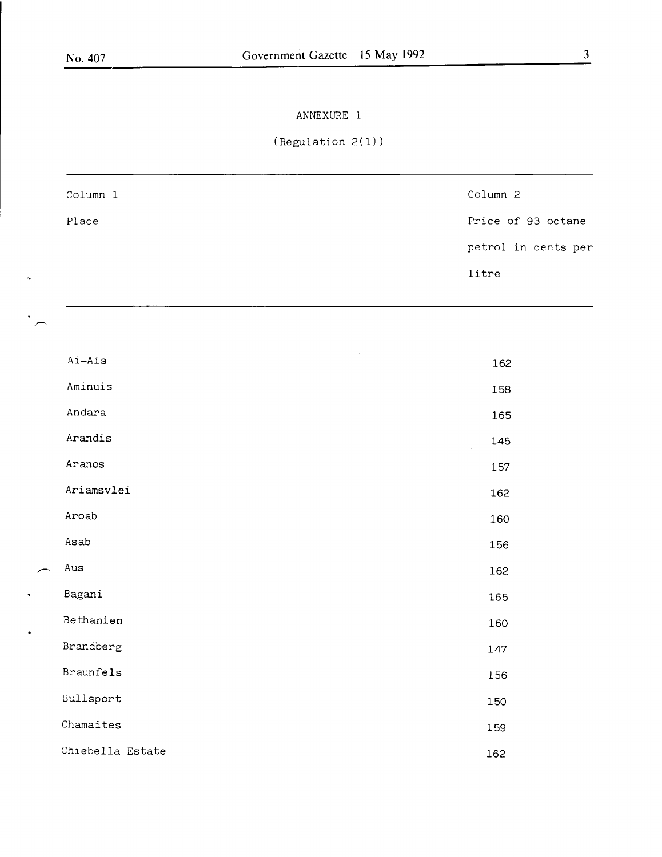*r--*

 $\ddot{\phantom{a}}$ 

 $\overline{$ 

 $\ddot{\phantom{0}}$ 

 $\ddot{\phantom{0}}$ 

# ANNEXURE 1

# (Regulation 2(1))

| Column 1 | Column 2            |
|----------|---------------------|
| Place    | Price of 93 octane  |
|          | petrol in cents per |
|          | litre               |
|          |                     |

| Ai-Ais           | 162 |
|------------------|-----|
| Aminuis          | 158 |
| Andara           | 165 |
| Arandis          | 145 |
| Aranos           | 157 |
| Ariamsvlei       | 162 |
| Aroab            | 160 |
| Asab             | 156 |
| Aus              | 162 |
| Bagani           | 165 |
| Bethanien        | 160 |
| Brandberg        | 147 |
| <b>Braunfels</b> | 156 |
| Bullsport        | 150 |
| Chamaites        | 159 |
| Chiebella Estate | 162 |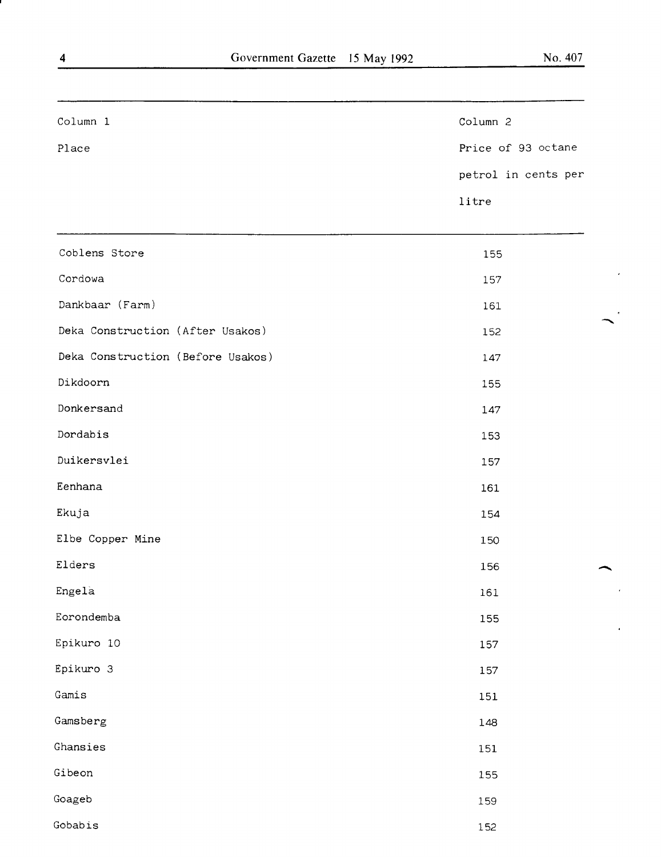$\mathbf{R}$ .

 $\overline{\phantom{a}}$ 

 $\bar{\star}$ 

| Column 1                          | Column 2            |
|-----------------------------------|---------------------|
| Place                             | Price of 93 octane  |
|                                   | petrol in cents per |
|                                   | litre               |
|                                   |                     |
| Coblens Store                     | 155                 |
| Cordowa                           | 157                 |
| Dankbaar (Farm)                   | 161                 |
| Deka Construction (After Usakos)  | 152                 |
| Deka Construction (Before Usakos) | 147                 |
| Dikdoorn                          | 155                 |
| Donkersand                        | 147                 |
| Dordabis                          | 153                 |
| Duikersvlei                       | 157                 |
| Eenhana                           | 161                 |
| Ekuja                             | 154                 |
| Elbe Copper Mine                  | 150                 |
| Elders                            | 156                 |
| Engela                            | 161                 |
| Eorondemba                        | 155                 |
| Epikuro 10                        | 157                 |
| Epikuro 3                         | 157                 |
| Gamis                             | 151                 |
| Gamsberg                          | 148                 |
| Ghansies                          | 151                 |
| Gibeon                            | 155                 |
| Goageb                            | 159                 |
| Gobabis                           | 152                 |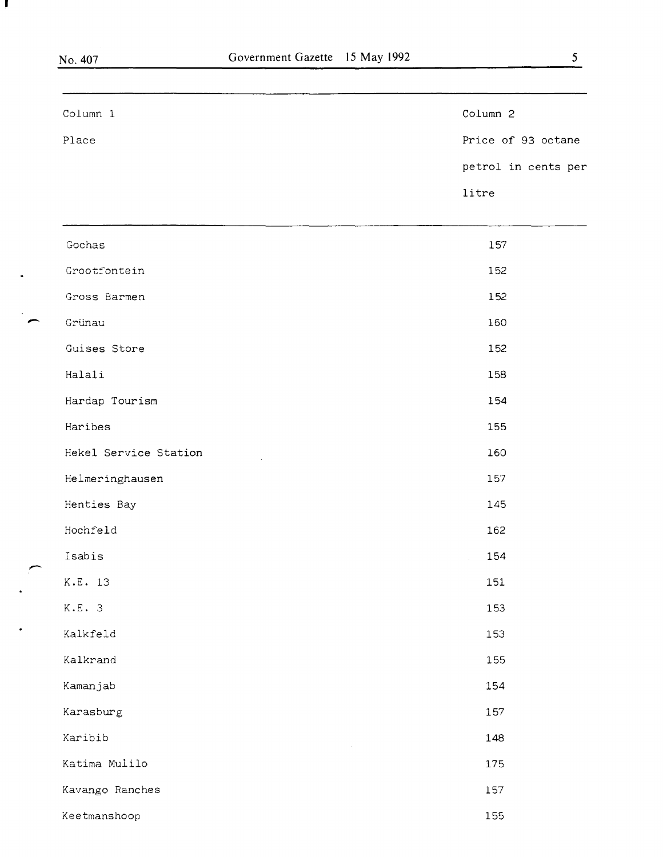ш

 $\rightarrow$ 

 $\ddot{\phantom{a}}$ 

,--.

| Column 1              | Column 2            |
|-----------------------|---------------------|
| Place                 | Price of 93 octane  |
|                       | petrol in cents per |
|                       | litre               |
| Gochas                | 157                 |
| Grootfontein          | 152                 |
| Gross Barmen          | 152                 |
| Grünau                | 160                 |
| Guises Store          | 152                 |
| Halali                | 158                 |
| Hardap Tourism        | 154                 |
| Haribes               | 155                 |
| Hekel Service Station | 160                 |
| Helmeringhausen       | 157                 |
| Henties Bay           | 145                 |
| Hochfeld              | 162                 |
| Isabis                | 154                 |
| K.E. 13               | 151                 |
| K.E.3                 | 153                 |
| Kalkfeld              | 153                 |
| Kalkrand              | 155                 |
| Kamanjab              | 154                 |
| Karasburg             | 157                 |
| Karibib               | 148                 |
| Katima Mulilo         | 175                 |
| Kavango Ranches       | 157                 |
| Keetmanshoop          | 155                 |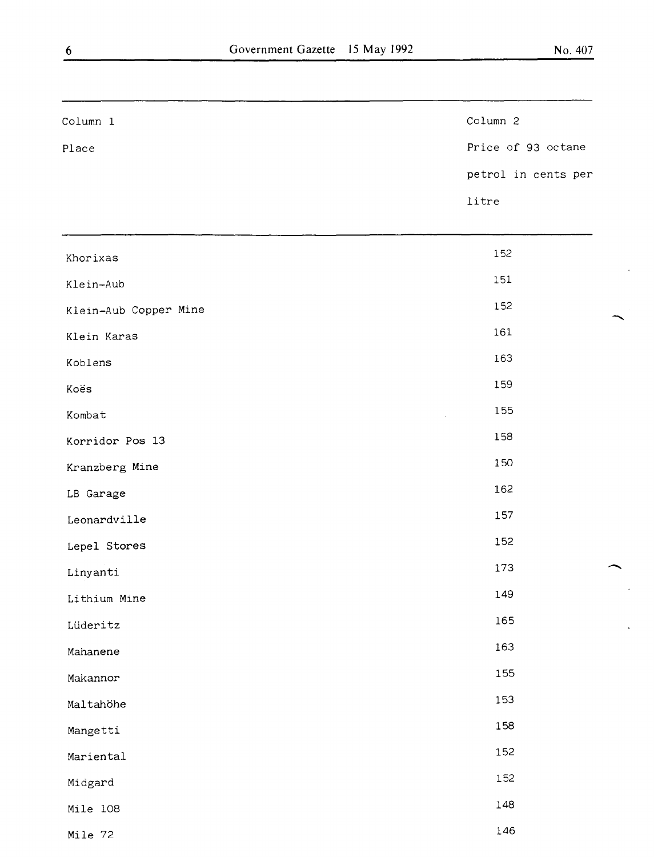-

¢,

-

 $\ddot{\phantom{a}}$ 

 $\bar{\star}$ 

| Column 1              | Column 2            |
|-----------------------|---------------------|
| Place                 | Price of 93 octane  |
|                       | petrol in cents per |
|                       | litre               |
| Khorixas              | 152                 |
| Klein-Aub             | 151                 |
| Klein-Aub Copper Mine | 152                 |
| Klein Karas           | 161                 |
| Koblens               | 163                 |
| Koës                  | 159                 |
| Kombat                | 155                 |
| Korridor Pos 13       | 158                 |
| Kranzberg Mine        | 150                 |
| LB Garage             | 162                 |
| Leonardville          | 157                 |
| Lepel Stores          | 152                 |
| Linyanti              | 173                 |
| Lithium Mine          | 149                 |
| Lüderitz              | 165                 |
| Mahanene              | 163                 |
| Makannor              | 155                 |
| Maltahöhe             | 153                 |
| Mangetti              | 158                 |
| Mariental             | 152                 |
| Midgard               | 152                 |
| Mile 108              | 148                 |
| Mile 72               | 146                 |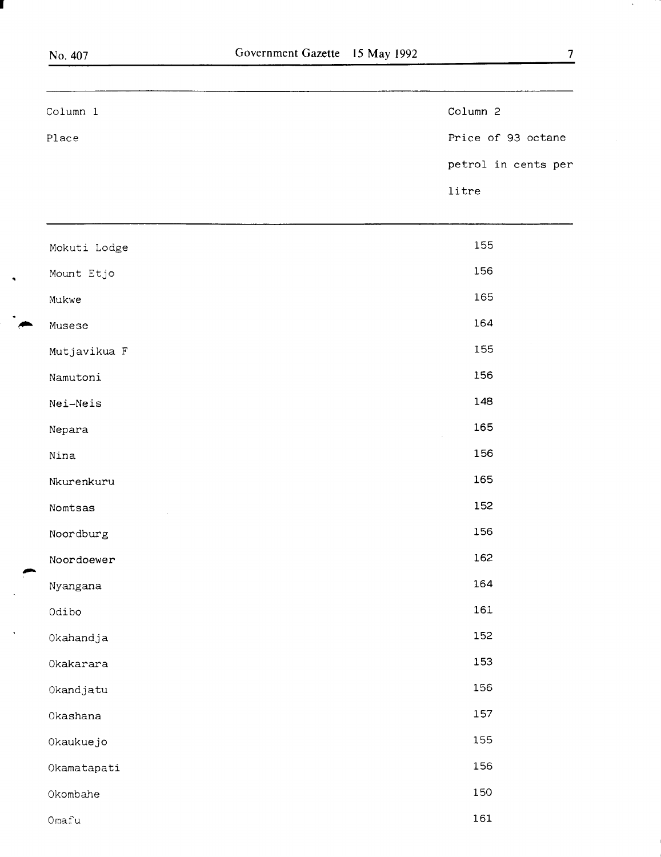I

~

 $\rightarrow$ 

 $\ddot{\phantom{a}}$ 

 $\overline{\phantom{a}}$ 

| Column 1     | Column 2            |
|--------------|---------------------|
| Place        | Price of 93 octane  |
|              | petrol in cents per |
|              | litre               |
|              |                     |
| Mokuti Lodge | 155                 |
| Mount Etjo   | 156                 |
| Mukwe        | 165                 |
| Musese       | 164                 |
| Mutjavikua F | 155                 |
| Namutoni     | 156                 |
| Nei-Neis     | 148                 |
| Nepara       | 165                 |
| Nina         | 156                 |
| Nkurenkuru   | 165                 |
| Nomtsas      | 152                 |
| Noordburg    | 156                 |
| Noordoewer   | 162                 |
| Nyangana     | 164                 |
| Odibo        | 161                 |
| Okahandja    | 152                 |
| Okakarara    | 153                 |
| Okandjatu    | 156                 |
| Okashana     | 157                 |
| Okaukuejo    | 155                 |
| Okamatapati  | 156                 |
| Okombahe     | 150                 |
| $0$ mafu     | 161                 |

 $\ddot{\phantom{a}}$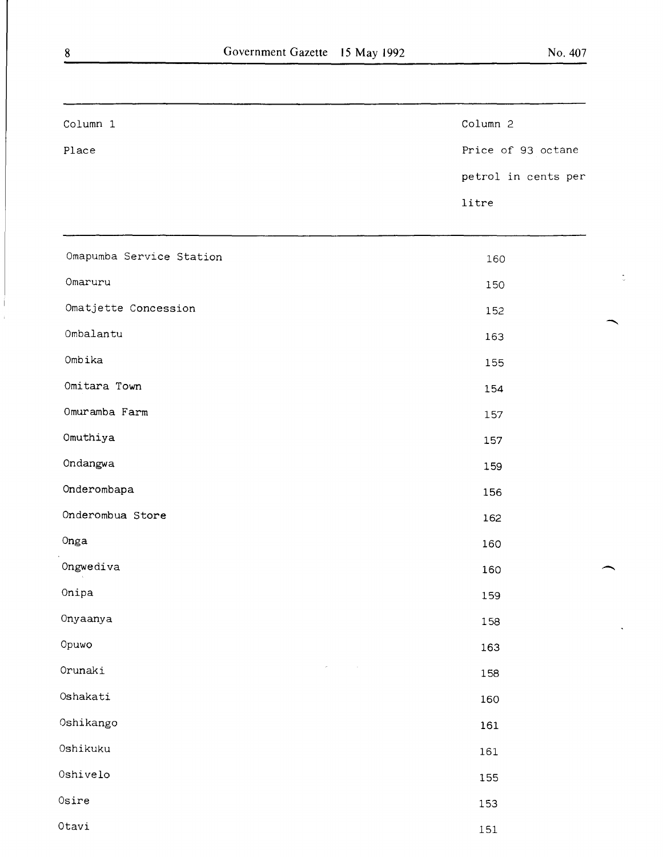| Column 1                 | Column 2            |
|--------------------------|---------------------|
| Place                    | Price of 93 octane  |
|                          | petrol in cents per |
|                          | litre               |
| Omapumba Service Station | 160                 |
| Omaruru                  | 150                 |
| Omatjette Concession     | 152                 |
| Ombalantu                | 163                 |
| Ombika                   | 155                 |
| Omitara Town             | 154                 |
| Omuramba Farm            | 157                 |
| Omuthiya                 | 157                 |
| Ondangwa                 | 159                 |
| Onderombapa              | 156                 |
| Onderombua Store         | 162                 |
| Onga                     | 160                 |
| Ongwediva                | 160                 |
| Onipa                    | 159                 |
| Onyaanya                 | 158                 |
| Opuwo                    | 163                 |
| Orunaki                  | 158                 |

Oshakati Oshikango Oshikuku

Oshivelo

Otavi

Osire

158

160

161

161

155

153

151

8

-

-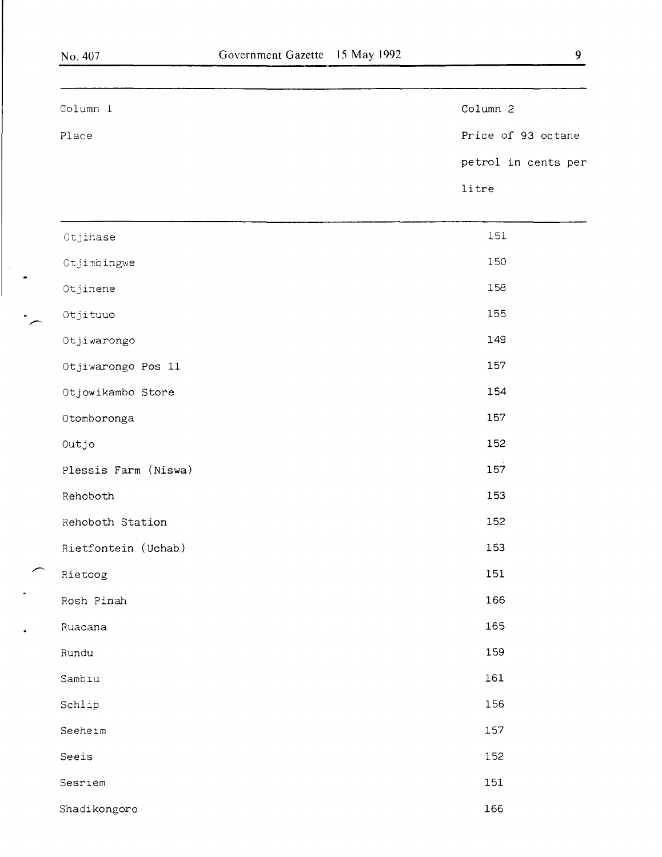$\ddot{\phantom{0}}$ 

 $\ddot{\phantom{0}}$ 

 $\ddot{\bullet}$ 

| Column 1             | Column 2            |
|----------------------|---------------------|
| Place                | Price of 93 octane  |
|                      | petrol in cents per |
|                      | litre               |
| Otjihase             | 151                 |
| Otjimbingwe          | 150                 |
| Otjinene             | 158                 |
| Otjituuo             | 155                 |
| Otjiwarongo          | 149                 |
| Otjiwarongo Pos 11   | 157                 |
| Otjowikambo Store    | 154                 |
| Otomboronga          | 157                 |
| Outjo                | 152                 |
| Plessis Farm (Niswa) | 157                 |
| Rehoboth             | 153                 |
| Rehoboth Station     | 152                 |
| Rietfontein (Uchab)  | 153                 |
| Rietoog              | 151                 |
| Rosh Pinah           | 166                 |
| Ruacana              | 165                 |
| Rundu                | 159                 |
| Sambiu               | 161                 |
| Schlip               | 156                 |
| Seeheim              | 157                 |
| Seeis                | 152                 |
| Sesriem              | 151                 |
| Shadikongoro         | 166                 |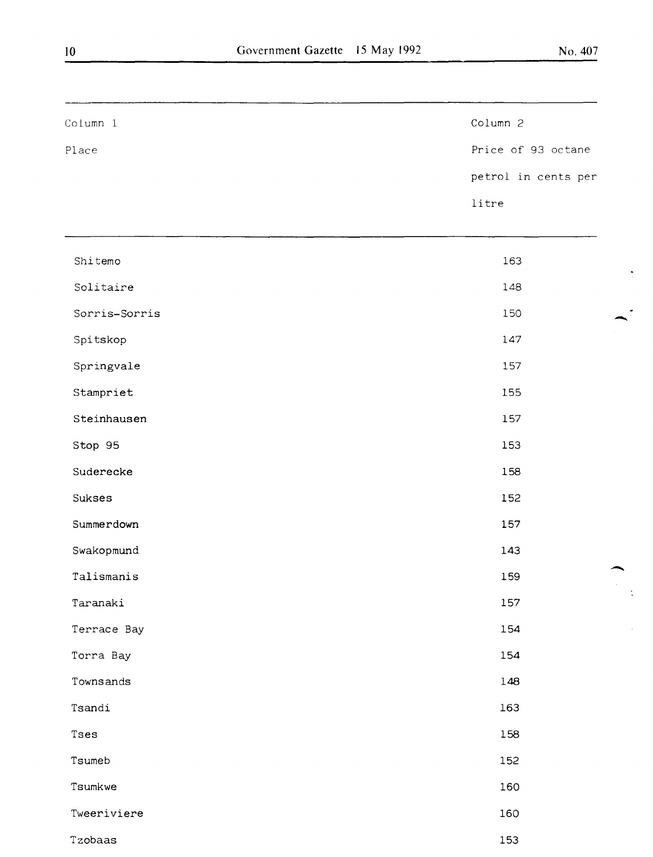$\mathbf{r}$ 

 $\frac{1}{\sqrt{2}}$ 

 $\frac{1}{2}$ 

 $\hat{\mathcal{L}}$ 

| Column 1      | Column 2            |
|---------------|---------------------|
| Place         | Price of 93 octane  |
|               | petrol in cents per |
|               | litre               |
| Shitemo       | 163                 |
| Solitaire     | 148                 |
| Sorris-Sorris | 150                 |
| Spitskop      | 147                 |
| Springvale    | 157                 |
| Stampriet     | 155                 |
| Steinhausen   | 157                 |
| Stop 95       | 153                 |
| Suderecke     | 158                 |
| Sukses        | 152                 |
| Summerdown    | 157                 |
| Swakopmund    | 143                 |
| Talismanis    | 159                 |
| Taranaki      | 157                 |
| Terrace Bay   | 154                 |
| Torra Bay     | 154                 |
| Townsands     | 148                 |
| Tsandi        | 163                 |
| Tses          | 158                 |
| Tsumeb        | 152                 |
| Tsumkwe       | 160                 |
| Tweeriviere   | 160                 |
| Tzobaas       | 153                 |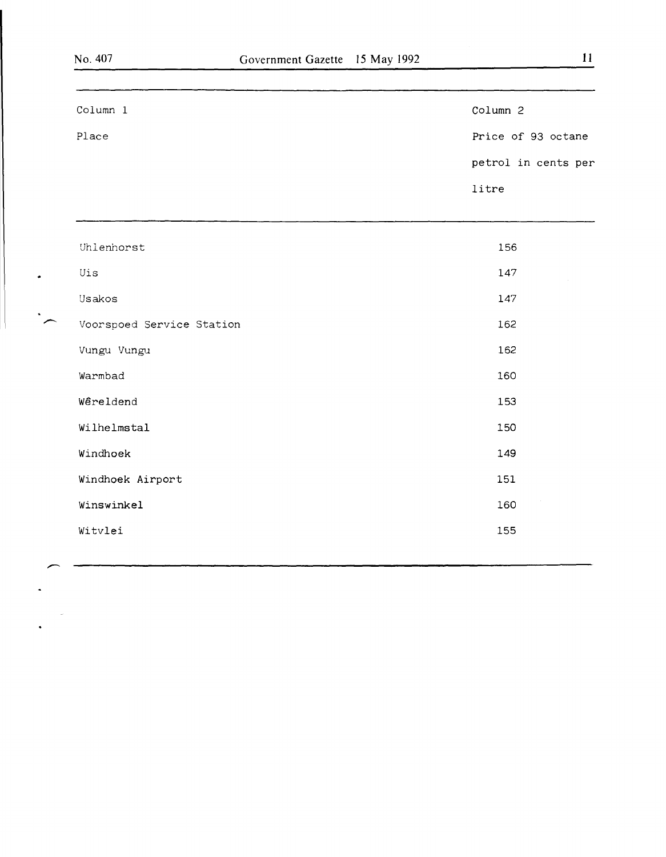$\cdot$ 

 $\bullet$  .

~

 $\sim$ 

 $\ddot{\phantom{1}}$ 

 $\ddot{\phantom{0}}$ 

| Column 1                  | Column 2            |
|---------------------------|---------------------|
| Place                     | Price of 93 octane  |
|                           | petrol in cents per |
|                           | litre               |
|                           |                     |
| Uhlenhorst                | 156                 |
| Uis                       | 147                 |
| Usakos                    | 147                 |
| Voorspoed Service Station | 162                 |
| Vungu Vungu               | 162                 |
| Warmbad                   | 160                 |
| Wêreldend                 | 153                 |
| Wilhelmstal               | 150                 |
| Windhoek                  | 149                 |
| Windhoek Airport          | 151                 |
| Winswinkel                | 160                 |
| Witvlei                   | 155                 |
|                           |                     |